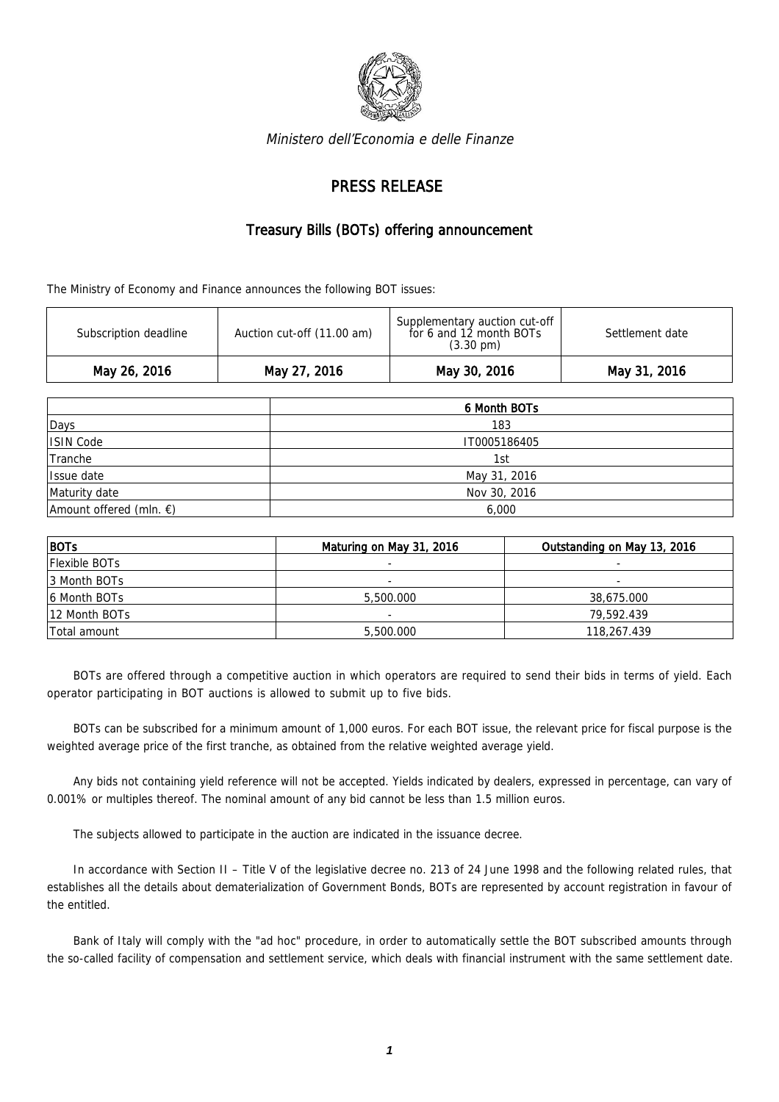

Ministero dell'Economia e delle Finanze

## PRESS RELEASE

## Treasury Bills (BOTs) offering announcement

The Ministry of Economy and Finance announces the following BOT issues:

| May 26, 2016          | May 27, 2016               | May 30, 2016                                                                    | May 31, 2016    |
|-----------------------|----------------------------|---------------------------------------------------------------------------------|-----------------|
| Subscription deadline | Auction cut-off (11.00 am) | Supplementary auction cut-off<br>for 6 and 12 month BOTs<br>$(3.30 \text{ pm})$ | Settlement date |

|                                   | 6 Month BOTs |  |  |
|-----------------------------------|--------------|--|--|
| Days                              | 183          |  |  |
| ISIN Code                         | IT0005186405 |  |  |
| Tranche                           | 1st          |  |  |
| Issue date                        | May 31, 2016 |  |  |
| Maturity date                     | Nov 30, 2016 |  |  |
| Amount offered (mln. $\epsilon$ ) | 6,000        |  |  |

| $ $ BOTs             | Maturing on May 31, 2016 | Outstanding on May 13, 2016 |
|----------------------|--------------------------|-----------------------------|
| <b>Flexible BOTs</b> |                          |                             |
| 13 Month BOTs        | $\overline{\phantom{0}}$ |                             |
| 6 Month BOTs         | 5,500.000                | 38,675.000                  |
| 12 Month BOTs        |                          | 79,592.439                  |
| Total amount         | 5,500.000                | 118,267.439                 |

BOTs are offered through a competitive auction in which operators are required to send their bids in terms of yield. Each operator participating in BOT auctions is allowed to submit up to five bids.

BOTs can be subscribed for a minimum amount of 1,000 euros. For each BOT issue, the relevant price for fiscal purpose is the weighted average price of the first tranche, as obtained from the relative weighted average yield.

Any bids not containing yield reference will not be accepted. Yields indicated by dealers, expressed in percentage, can vary of 0.001% or multiples thereof. The nominal amount of any bid cannot be less than 1.5 million euros.

The subjects allowed to participate in the auction are indicated in the issuance decree.

In accordance with Section II – Title V of the legislative decree no. 213 of 24 June 1998 and the following related rules, that establishes all the details about dematerialization of Government Bonds, BOTs are represented by account registration in favour of the entitled.

Bank of Italy will comply with the "ad hoc" procedure, in order to automatically settle the BOT subscribed amounts through the so-called facility of compensation and settlement service, which deals with financial instrument with the same settlement date.